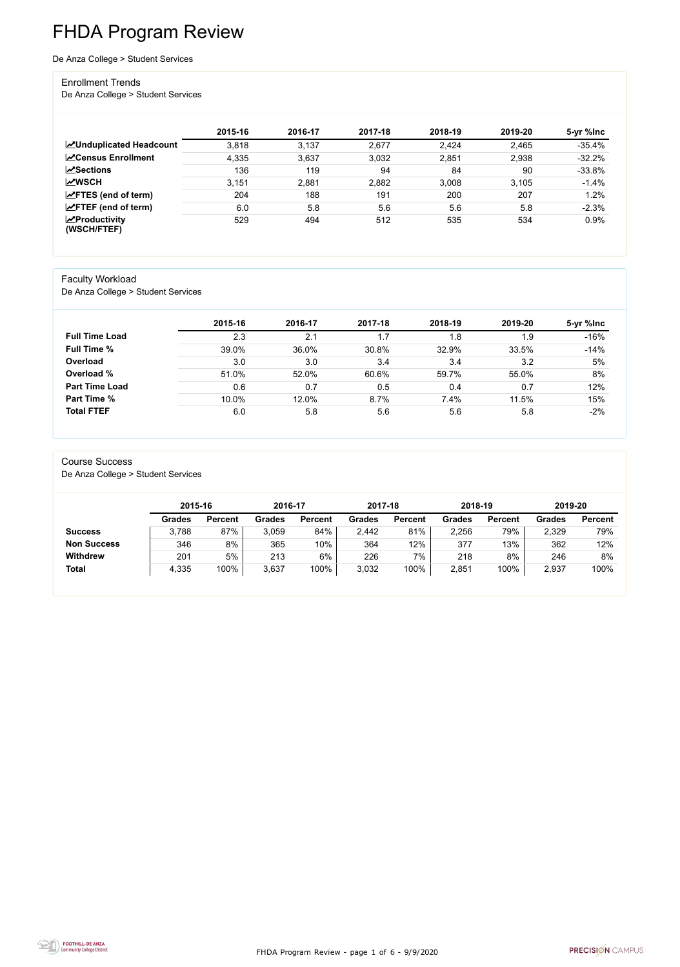FHDA Program Review - page 1 of 6 - 9/9/2020



# FHDA Program Review

De Anza College > Student Services

#### Enrollment Trends

De Anza College > Student Services

|                                        | 2015-16 | 2016-17 | 2017-18 | 2018-19 | 2019-20 | 5-yr %lnc |
|----------------------------------------|---------|---------|---------|---------|---------|-----------|
| <b>ZUnduplicated Headcount</b>         | 3,818   | 3,137   | 2,677   | 2,424   | 2,465   | $-35.4%$  |
| <b>∠</b> Census Enrollment             | 4,335   | 3,637   | 3,032   | 2,851   | 2,938   | $-32.2%$  |
| <b>ZSections</b>                       | 136     | 119     | 94      | 84      | 90      | $-33.8%$  |
| <b>MWSCH</b>                           | 3,151   | 2,881   | 2,882   | 3,008   | 3,105   | $-1.4%$   |
| $\angle$ FTES (end of term)            | 204     | 188     | 191     | 200     | 207     | 1.2%      |
| $\angle$ FTEF (end of term)            | 6.0     | 5.8     | 5.6     | 5.6     | 5.8     | $-2.3%$   |
| $\sqrt{2}$ Productivity<br>(WSCH/FTEF) | 529     | 494     | 512     | 535     | 534     | 0.9%      |

#### Faculty Workload

De Anza College > Student Services

|                       | 2015-16 | 2016-17 | 2017-18 | 2018-19 | 2019-20 | 5-yr %lnc |
|-----------------------|---------|---------|---------|---------|---------|-----------|
| <b>Full Time Load</b> | 2.3     | 2.1     | 1.7     | 1.8     | 1.9     | $-16%$    |
| <b>Full Time %</b>    | 39.0%   | 36.0%   | 30.8%   | 32.9%   | 33.5%   | $-14%$    |
| Overload              | 3.0     | 3.0     | 3.4     | 3.4     | 3.2     | 5%        |
| Overload %            | 51.0%   | 52.0%   | 60.6%   | 59.7%   | 55.0%   | 8%        |
| <b>Part Time Load</b> | 0.6     | 0.7     | 0.5     | 0.4     | 0.7     | 12%       |
| Part Time %           | 10.0%   | 12.0%   | 8.7%    | 7.4%    | 11.5%   | 15%       |
| <b>Total FTEF</b>     | 6.0     | 5.8     | 5.6     | 5.6     | 5.8     | $-2%$     |

#### Course Success

De Anza College > Student Services

|                    | 2015-16       |                | 2016-17 |                | 2017-18 |                | 2018-19       |                | 2019-20       |                |
|--------------------|---------------|----------------|---------|----------------|---------|----------------|---------------|----------------|---------------|----------------|
|                    | <b>Grades</b> | <b>Percent</b> | Grades  | <b>Percent</b> | Grades  | <b>Percent</b> | <b>Grades</b> | <b>Percent</b> | <b>Grades</b> | <b>Percent</b> |
| <b>Success</b>     | 3,788         | 87%            | 3,059   | 84%            | 2,442   | 81%            | 2,256         | 79%            | 2,329         | 79%            |
| <b>Non Success</b> | 346           | 8%             | 365     | 10%            | 364     | 12%            | 377           | 13%            | 362           | 12%            |
| <b>Withdrew</b>    | 201           | 5%             | 213     | 6%             | 226     | 7%             | 218           | 8%             | 246           | 8%             |
| <b>Total</b>       | 4,335         | 100%           | 3,637   | 100%           | 3,032   | 100%           | 2,851         | 100%           | 2,937         | 100%           |

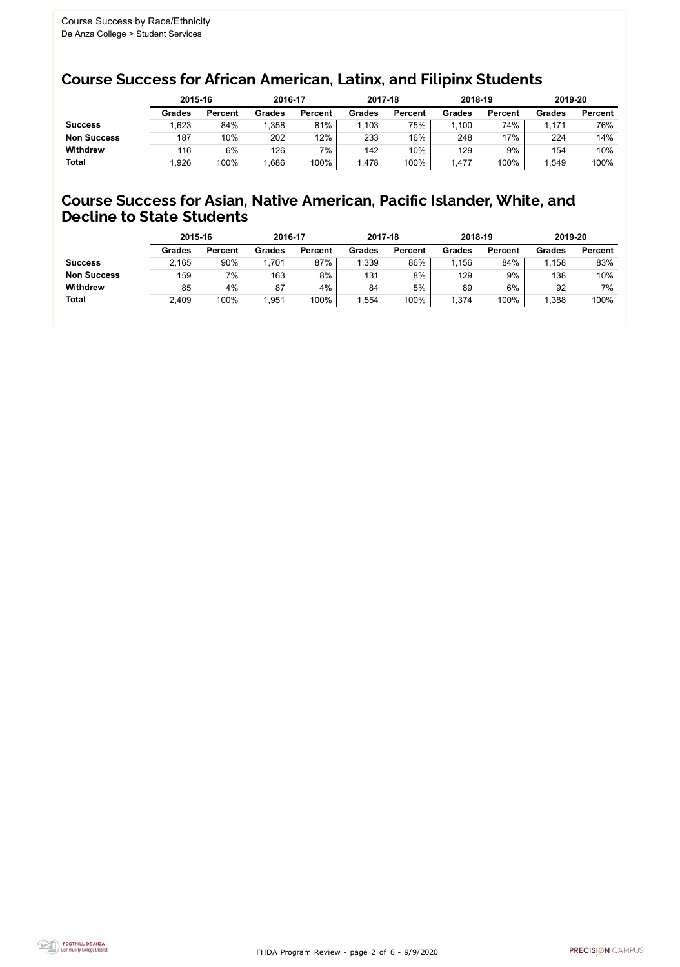FHDA Program Review - page 2 of 6 - 9/9/2020



### Course Success for African American, Latinx, and Filipinx Students

#### Course Success for Asian, Native American, Pacific Islander, White, and Decline to State Students

|                    |               | 2015-16        |               | 2016-17        |               | 2017-18        | 2018-19       |                | 2019-20       |                |
|--------------------|---------------|----------------|---------------|----------------|---------------|----------------|---------------|----------------|---------------|----------------|
|                    | <b>Grades</b> | <b>Percent</b> | <b>Grades</b> | <b>Percent</b> | <b>Grades</b> | <b>Percent</b> | <b>Grades</b> | <b>Percent</b> | <b>Grades</b> | <b>Percent</b> |
| <b>Success</b>     | ,623          | 84%            | ,358          | 81%            | 1,103         | 75%            | ,100          | 74%            | 1,171         | 76%            |
| <b>Non Success</b> | 187           | 10%            | 202           | 12%            | 233           | 16%            | 248           | $17\%$         | 224           | 14%            |
| <b>Withdrew</b>    | 116           | 6%             | 126           | 7%             | 142           | 10%            | 129           | 9%             | 154           | 10%            |
| <b>Total</b>       | ,926          | 100%           | ,686          | 100%           | 1,478         | 100%           | ,477          | 100%           | ,549          | 100%           |

|                    | 2015-16       |                | 2016-17       |                | 2017-18       |                | 2018-19       |                | 2019-20 |                |
|--------------------|---------------|----------------|---------------|----------------|---------------|----------------|---------------|----------------|---------|----------------|
|                    | <b>Grades</b> | <b>Percent</b> | <b>Grades</b> | <b>Percent</b> | <b>Grades</b> | <b>Percent</b> | <b>Grades</b> | <b>Percent</b> | Grades  | <b>Percent</b> |
| <b>Success</b>     | 2,165         | 90%            | 1,701         | 87%            | 1,339         | 86%            | ,156          | 84%            | 1,158   | 83%            |
| <b>Non Success</b> | 159           | 7%             | 163           | 8%             | 131           | 8%             | 129           | 9%             | 138     | 10%            |
| <b>Withdrew</b>    | 85            | 4%             | 87            | 4%             | 84            | 5%             | 89            | 6%             | 92      | 7%             |
| <b>Total</b>       | 2,409         | 100%           | 1,951         | 100%           | ,554          | 100%           | ,374          | 100%           | 1,388   | 100%           |
|                    |               |                |               |                |               |                |               |                |         |                |

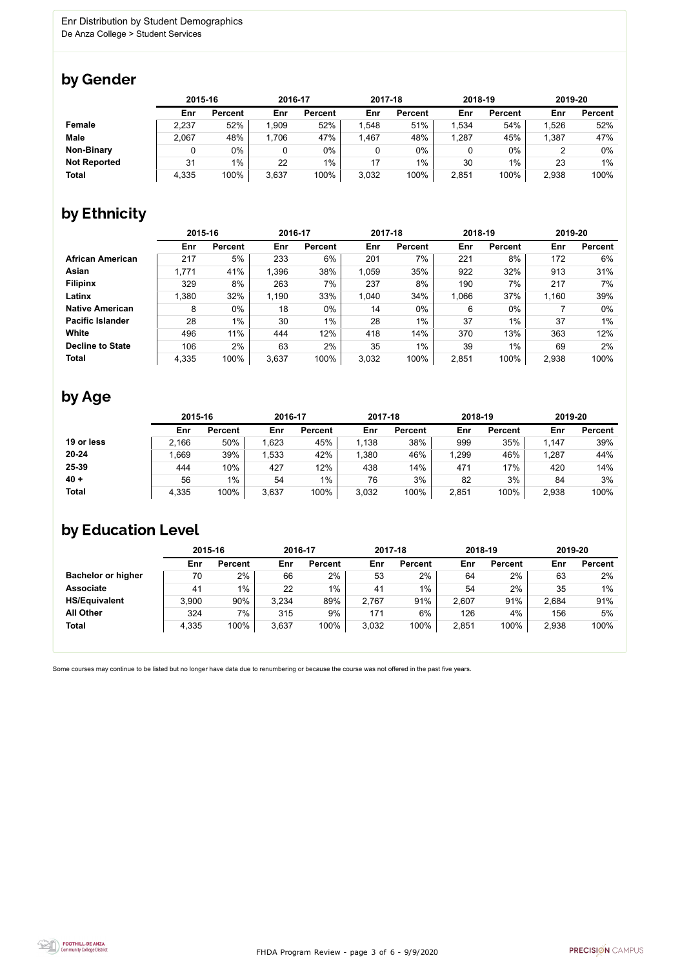FHDA Program Review - page 3 of 6 - 9/9/2020



Some courses may continue to be listed but no longer have data due to renumbering or because the course was not offered in the past five years.



### by Gender

|                     | 2015-16 |                |       | 2016-17        |       | 2017-18        |       | 2018-19        |       | 2019-20        |  |
|---------------------|---------|----------------|-------|----------------|-------|----------------|-------|----------------|-------|----------------|--|
|                     | Enr     | <b>Percent</b> | Enr   | <b>Percent</b> | Enr   | <b>Percent</b> | Enr   | <b>Percent</b> | Enr   | <b>Percent</b> |  |
| <b>Female</b>       | 2,237   | 52%            | 1,909 | 52%            | 1,548 | 51%            | ,534  | 54%            | 1,526 | 52%            |  |
| <b>Male</b>         | 2,067   | 48%            | ,706  | 47%            | 1,467 | 48%            | 1,287 | 45%            | 1,387 | 47%            |  |
| <b>Non-Binary</b>   |         | 0%             |       | $0\%$          |       | 0%             |       | $0\%$          |       | 0%             |  |
| <b>Not Reported</b> | 31      | $1\%$          | 22    | $1\%$          | 17    | $1\%$          | 30    | 1%             | 23    | 1%             |  |
| <b>Total</b>        | 4,335   | 100%           | 3,637 | 100%           | 3,032 | 100%           | 2,851 | 100%           | 2,938 | 100%           |  |

### by Ethnicity

|                         |       | 2015-16        |       | 2016-17        |       | 2017-18        | 2018-19 |                | 2019-20 |                |
|-------------------------|-------|----------------|-------|----------------|-------|----------------|---------|----------------|---------|----------------|
|                         | Enr   | <b>Percent</b> | Enr   | <b>Percent</b> | Enr   | <b>Percent</b> | Enr     | <b>Percent</b> | Enr     | <b>Percent</b> |
| <b>African American</b> | 217   | 5%             | 233   | 6%             | 201   | 7%             | 221     | 8%             | 172     | 6%             |
| Asian                   | 1,771 | 41%            | 1,396 | 38%            | 1,059 | 35%            | 922     | 32%            | 913     | 31%            |
| <b>Filipinx</b>         | 329   | 8%             | 263   | 7%             | 237   | 8%             | 190     | 7%             | 217     | 7%             |
| Latinx                  | 1,380 | 32%            | 1,190 | 33%            | 1,040 | 34%            | 1,066   | 37%            | 1,160   | 39%            |
| <b>Native American</b>  | 8     | $0\%$          | 18    | 0%             | 14    | $0\%$          | 6       | $0\%$          |         | $0\%$          |
| <b>Pacific Islander</b> | 28    | $1\%$          | 30    | $1\%$          | 28    | 1%             | 37      | 1%             | 37      | 1%             |
| White                   | 496   | 11%            | 444   | 12%            | 418   | 14%            | 370     | 13%            | 363     | 12%            |
| <b>Decline to State</b> | 106   | 2%             | 63    | 2%             | 35    | 1%             | 39      | 1%             | 69      | $2\%$          |
| <b>Total</b>            | 4,335 | 100%           | 3,637 | 100%           | 3,032 | 100%           | 2,851   | 100%           | 2,938   | 100%           |

### by Age

|              | 2015-16 |                | 2016-17 |                | 2017-18 |                | 2018-19 |                | 2019-20 |                |
|--------------|---------|----------------|---------|----------------|---------|----------------|---------|----------------|---------|----------------|
|              | Enr     | <b>Percent</b> | Enr     | <b>Percent</b> | Enr     | <b>Percent</b> | Enr     | <b>Percent</b> | Enr     | <b>Percent</b> |
| 19 or less   | 2,166   | 50%            | ,623    | 45%            | 1,138   | 38%            | 999     | 35%            | 1,147   | 39%            |
| $20 - 24$    | .669    | 39%            | ,533    | 42%            | ,380    | 46%            | ,299    | 46%            | 1,287   | 44%            |
| 25-39        | 444     | 10%            | 427     | 12%            | 438     | 14%            | 471     | 17%            | 420     | 14%            |
| $40 +$       | 56      | 1%             | 54      | $1\%$          | 76      | 3%             | 82      | 3%             | 84      | 3%             |
| <b>Total</b> | 4,335   | 100%           | 3,637   | 100%           | 3,032   | 100%           | 2,851   | 100%           | 2,938   | 100%           |

### by Education Level

|                           | 2015-16 |                |       | 2016-17        |       | 2017-18        | 2018-19 |                | 2019-20 |                |
|---------------------------|---------|----------------|-------|----------------|-------|----------------|---------|----------------|---------|----------------|
|                           | Enr     | <b>Percent</b> | Enr   | <b>Percent</b> | Enr   | <b>Percent</b> | Enr     | <b>Percent</b> | Enr     | <b>Percent</b> |
| <b>Bachelor or higher</b> | 70      | 2%             | 66    | 2%             | 53    | 2%             | 64      | 2%             | 63      | 2%             |
| <b>Associate</b>          | 41      | 1%             | 22    | $1\%$          | 41    | $1\%$          | 54      | 2%             | 35      | 1%             |
| <b>HS/Equivalent</b>      | 3,900   | 90%            | 3,234 | 89%            | 2,767 | 91%            | 2,607   | 91%            | 2,684   | 91%            |
| <b>All Other</b>          | 324     | $7\%$          | 315   | 9%             | 171   | 6%             | 126     | 4%             | 156     | 5%             |
| <b>Total</b>              | 4,335   | 100%           | 3,637 | 100%           | 3,032 | 100%           | 2,851   | 100%           | 2,938   | 100%           |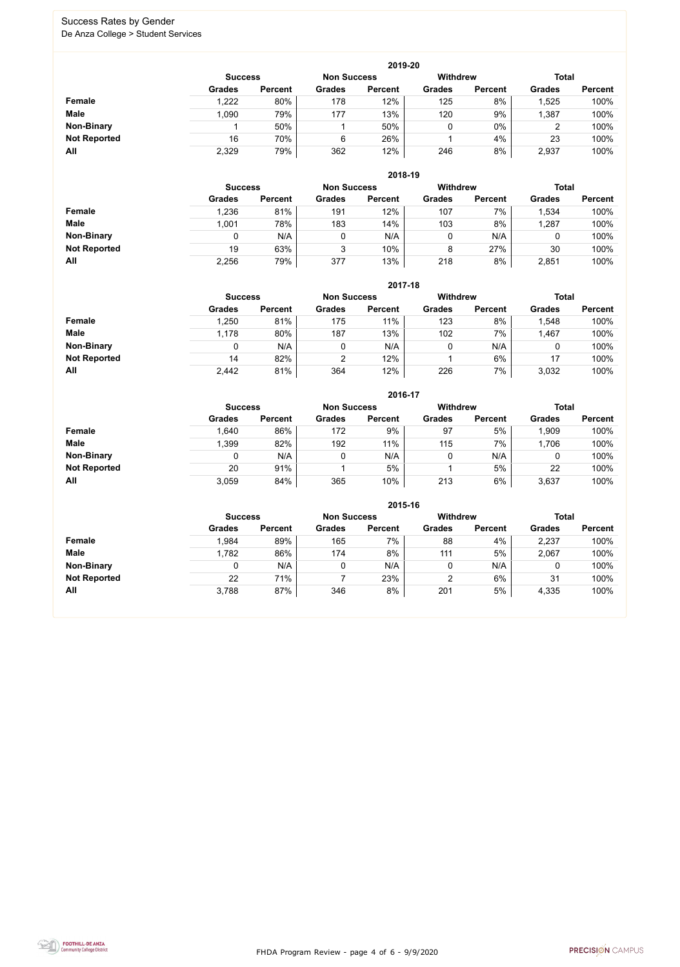FHDA Program Review - page 4 of 6 - 9/9/2020



#### Success Rates by Gender De Anza College > Student Services

|                     |                | 2019-20        |                    |                |                 |                |               |                |  |  |  |  |  |  |
|---------------------|----------------|----------------|--------------------|----------------|-----------------|----------------|---------------|----------------|--|--|--|--|--|--|
|                     | <b>Success</b> |                | <b>Non Success</b> |                | <b>Withdrew</b> |                | <b>Total</b>  |                |  |  |  |  |  |  |
|                     | <b>Grades</b>  | <b>Percent</b> | <b>Grades</b>      | <b>Percent</b> | <b>Grades</b>   | <b>Percent</b> | <b>Grades</b> | <b>Percent</b> |  |  |  |  |  |  |
| Female              | 1,222          | 80%            | 178                | 12%            | 125             | 8%             | 1,525         | 100%           |  |  |  |  |  |  |
| <b>Male</b>         | 1,090          | 79%            | 177                | 13%            | 120             | 9%             | 1,387         | 100%           |  |  |  |  |  |  |
| <b>Non-Binary</b>   |                | 50%            |                    | 50%            | 0               | $0\%$          | 2             | 100%           |  |  |  |  |  |  |
| <b>Not Reported</b> | 16             | 70%            | 6                  | 26%            |                 | 4%             | 23            | 100%           |  |  |  |  |  |  |
| All                 | 2,329          | 79%            | 362                | 12%            | 246             | 8%             | 2,937         | 100%           |  |  |  |  |  |  |

|                     | 2018-19       |                                      |               |                |               |                 |               |                |  |  |  |  |  |
|---------------------|---------------|--------------------------------------|---------------|----------------|---------------|-----------------|---------------|----------------|--|--|--|--|--|
|                     |               | <b>Non Success</b><br><b>Success</b> |               |                |               | <b>Withdrew</b> | <b>Total</b>  |                |  |  |  |  |  |
|                     | <b>Grades</b> | <b>Percent</b>                       | <b>Grades</b> | <b>Percent</b> | <b>Grades</b> | <b>Percent</b>  | <b>Grades</b> | <b>Percent</b> |  |  |  |  |  |
| Female              | 1,236         | 81%                                  | 191           | 12%            | 107           | 7%              | 1,534         | 100%           |  |  |  |  |  |
| <b>Male</b>         | 1,001         | 78%                                  | 183           | 14%            | 103           | 8%              | ,287          | 100%           |  |  |  |  |  |
| <b>Non-Binary</b>   | 0             | N/A                                  |               | N/A            | υ             | N/A             | U             | 100%           |  |  |  |  |  |
| <b>Not Reported</b> | 19            | 63%                                  | 3             | 10%            | 8             | 27%             | 30            | 100%           |  |  |  |  |  |
| All                 | 2,256         | 79%                                  | 377           | 13%            | 218           | 8%              | 2,851         | 100%           |  |  |  |  |  |

|                     |               | 2017-18                                                 |               |                |               |                |               |                |  |  |  |  |  |  |
|---------------------|---------------|---------------------------------------------------------|---------------|----------------|---------------|----------------|---------------|----------------|--|--|--|--|--|--|
|                     |               | <b>Withdrew</b><br><b>Non Success</b><br><b>Success</b> |               |                |               |                |               | <b>Total</b>   |  |  |  |  |  |  |
|                     | <b>Grades</b> | <b>Percent</b>                                          | <b>Grades</b> | <b>Percent</b> | <b>Grades</b> | <b>Percent</b> | <b>Grades</b> | <b>Percent</b> |  |  |  |  |  |  |
| <b>Female</b>       | 1,250         | 81%                                                     | 175           | 11%            | 123           | 8%             | ,548          | 100%           |  |  |  |  |  |  |
| <b>Male</b>         | 1,178         | 80%                                                     | 187           | 13%            | 102           | 7%             | 1,467         | 100%           |  |  |  |  |  |  |
| <b>Non-Binary</b>   | 0             | N/A                                                     | 0             | N/A            | 0             | N/A            | 0             | 100%           |  |  |  |  |  |  |
| <b>Not Reported</b> | 14            | 82%                                                     | 2             | 12%            |               | 6%             | 17            | 100%           |  |  |  |  |  |  |
| All                 | 2,442         | 81%                                                     | 364           | 12%            | 226           | 7%             | 3,032         | 100%           |  |  |  |  |  |  |

|                     |               |                |               | 2016-17        |                 |                |               |                |
|---------------------|---------------|----------------|---------------|----------------|-----------------|----------------|---------------|----------------|
|                     |               | <b>Success</b> |               |                | <b>Withdrew</b> |                | <b>Total</b>  |                |
|                     | <b>Grades</b> | <b>Percent</b> | <b>Grades</b> | <b>Percent</b> | <b>Grades</b>   | <b>Percent</b> | <b>Grades</b> | <b>Percent</b> |
| <b>Female</b>       | 1,640         | 86%            | 172           | 9%             | 97              | 5%             | ,909          | 100%           |
| <b>Male</b>         | 1,399         | 82%            | 192           | 11%            | 115             | 7%             | 1,706         | 100%           |
| <b>Non-Binary</b>   | 0             | N/A            |               | N/A            | 0               | N/A            | 0             | 100%           |
| <b>Not Reported</b> | 20            | 91%            |               | 5%             |                 | 5%             | 22            | 100%           |
| All                 | 3,059         | 84%            | 365           | 10%            | 213             | 6%             | 3,637         | 100%           |

|                     |               |                                                         |               |                | 2015-16       |                |               |                |
|---------------------|---------------|---------------------------------------------------------|---------------|----------------|---------------|----------------|---------------|----------------|
|                     |               | <b>Withdrew</b><br><b>Non Success</b><br><b>Success</b> |               |                |               |                |               |                |
|                     | <b>Grades</b> | <b>Percent</b>                                          | <b>Grades</b> | <b>Percent</b> | <b>Grades</b> | <b>Percent</b> | <b>Grades</b> | <b>Percent</b> |
| Female              | 1,984         | 89%                                                     | 165           | 7%             | 88            | 4%             | 2,237         | 100%           |
| <b>Male</b>         | 1,782         | 86%                                                     | 174           | 8%             | 111           | 5%             | 2,067         | 100%           |
| <b>Non-Binary</b>   | 0             | N/A                                                     | 0             | N/A            |               | N/A            | 0             | 100%           |
| <b>Not Reported</b> | 22            | 71%                                                     |               | 23%            | 2             | 6%             | 31            | 100%           |
| All                 | 3,788         | 87%                                                     | 346           | 8%             | 201           | 5%             | 4,335         | 100%           |

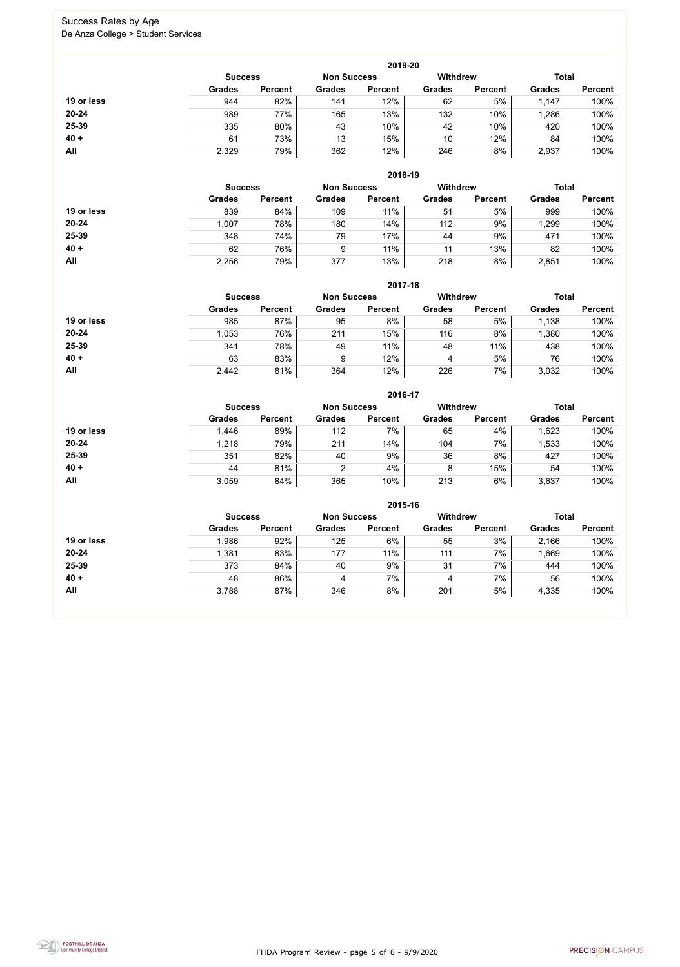FHDA Program Review - page 5 of 6 - 9/9/2020



#### Success Rates by Age De Anza College > Student Services

|            |                |                    |               | 2019-20         |               |                |               |                |
|------------|----------------|--------------------|---------------|-----------------|---------------|----------------|---------------|----------------|
|            | <b>Success</b> | <b>Non Success</b> |               | <b>Withdrew</b> |               | <b>Total</b>   |               |                |
|            | <b>Grades</b>  | <b>Percent</b>     | <b>Grades</b> | <b>Percent</b>  | <b>Grades</b> | <b>Percent</b> | <b>Grades</b> | <b>Percent</b> |
| 19 or less | 944            | 82%                | 141           | 12%             | 62            | 5%             | 1,147         | 100%           |
| $20 - 24$  | 989            | 77%                | 165           | 13%             | 132           | 10%            | ,286          | 100%           |
| 25-39      | 335            | 80%                | 43            | 10%             | 42            | 10%            | 420           | 100%           |
| $40 +$     | 61             | 73%                | 13            | 15%             | 10            | 12%            | 84            | 100%           |
| All        | 2,329          | 79%                | 362           | 12%             | 246           | 8%             | 2,937         | 100%           |

|            |                |                    |               | 2018-19         |               |                |               |                |
|------------|----------------|--------------------|---------------|-----------------|---------------|----------------|---------------|----------------|
|            | <b>Success</b> | <b>Non Success</b> |               | <b>Withdrew</b> |               | <b>Total</b>   |               |                |
|            | <b>Grades</b>  | <b>Percent</b>     | <b>Grades</b> | <b>Percent</b>  | <b>Grades</b> | <b>Percent</b> | <b>Grades</b> | <b>Percent</b> |
| 19 or less | 839            | 84%                | 109           | 11%             | 51            | 5%             | 999           | 100%           |
| $20 - 24$  | 1,007          | 78%                | 180           | 14%             | 112           | 9%             | 1,299         | 100%           |
| 25-39      | 348            | 74%                | 79            | 17%             | 44            | 9%             | 471           | 100%           |
| $40 +$     | 62             | 76%                | 9             | 11%             | 11            | 13%            | 82            | 100%           |
| All        | 2,256          | 79%                | 377           | 13%             | 218           | 8%             | 2,851         | 100%           |

|            |                                                         |                |               | 2017-18        |               |                |               |                |
|------------|---------------------------------------------------------|----------------|---------------|----------------|---------------|----------------|---------------|----------------|
|            | <b>Withdrew</b><br><b>Non Success</b><br><b>Success</b> |                |               |                |               |                |               | <b>Total</b>   |
|            | <b>Grades</b>                                           | <b>Percent</b> | <b>Grades</b> | <b>Percent</b> | <b>Grades</b> | <b>Percent</b> | <b>Grades</b> | <b>Percent</b> |
| 19 or less | 985                                                     | 87%            | 95            | 8%             | 58            | 5%             | 1,138         | 100%           |
| $20 - 24$  | 1,053                                                   | 76%            | 211           | 15%            | 116           | 8%             | ,380          | 100%           |
| 25-39      | 341                                                     | 78%            | 49            | 11%            | 48            | 11%            | 438           | 100%           |
| $40 +$     | 63                                                      | 83%            | 9             | 12%            | 4             | 5%             | 76            | 100%           |
| All        | 2,442                                                   | 81%            | 364           | 12%            | 226           | 7%             | 3,032         | 100%           |

|            |                |                |               | 2016-17            |                 |                |               |                |
|------------|----------------|----------------|---------------|--------------------|-----------------|----------------|---------------|----------------|
|            | <b>Success</b> |                |               | <b>Non Success</b> | <b>Withdrew</b> |                | <b>Total</b>  |                |
|            | <b>Grades</b>  | <b>Percent</b> | <b>Grades</b> | <b>Percent</b>     | <b>Grades</b>   | <b>Percent</b> | <b>Grades</b> | <b>Percent</b> |
| 19 or less | 1,446          | 89%            | 112           | 7%                 | 65              | 4%             | 1,623         | 100%           |
| $20 - 24$  | 1,218          | 79%            | 211           | 14%                | 104             | 7%             | 1,533         | 100%           |
| 25-39      | 351            | 82%            | 40            | 9%                 | 36              | 8%             | 427           | 100%           |
| $40 +$     | 44             | 81%            | າ             | 4%                 | 8               | 15%            | 54            | 100%           |
| All        | 3,059          | 84%            | 365           | 10%                | 213             | 6%             | 3,637         | 100%           |

|            |                                                         |                |               | 2015-16        |               |                |               |                |  |
|------------|---------------------------------------------------------|----------------|---------------|----------------|---------------|----------------|---------------|----------------|--|
|            | <b>Withdrew</b><br><b>Non Success</b><br><b>Success</b> |                |               |                |               |                |               | <b>Total</b>   |  |
|            | <b>Grades</b>                                           | <b>Percent</b> | <b>Grades</b> | <b>Percent</b> | <b>Grades</b> | <b>Percent</b> | <b>Grades</b> | <b>Percent</b> |  |
| 19 or less | 1,986                                                   | 92%            | 125           | 6%             | 55            | 3%             | 2,166         | 100%           |  |
| $20 - 24$  | 1,381                                                   | 83%            | 177           | 11%            | 111           | 7%             | ,669          | 100%           |  |
| 25-39      | 373                                                     | 84%            | 40            | 9%             | 31            | 7%             | 444           | 100%           |  |
| $40 +$     | 48                                                      | 86%            | 4             | 7%             | 4             | 7%             | 56            | 100%           |  |
| All        | 3,788                                                   | 87%            | 346           | 8%             | 201           | 5%             | 4,335         | 100%           |  |